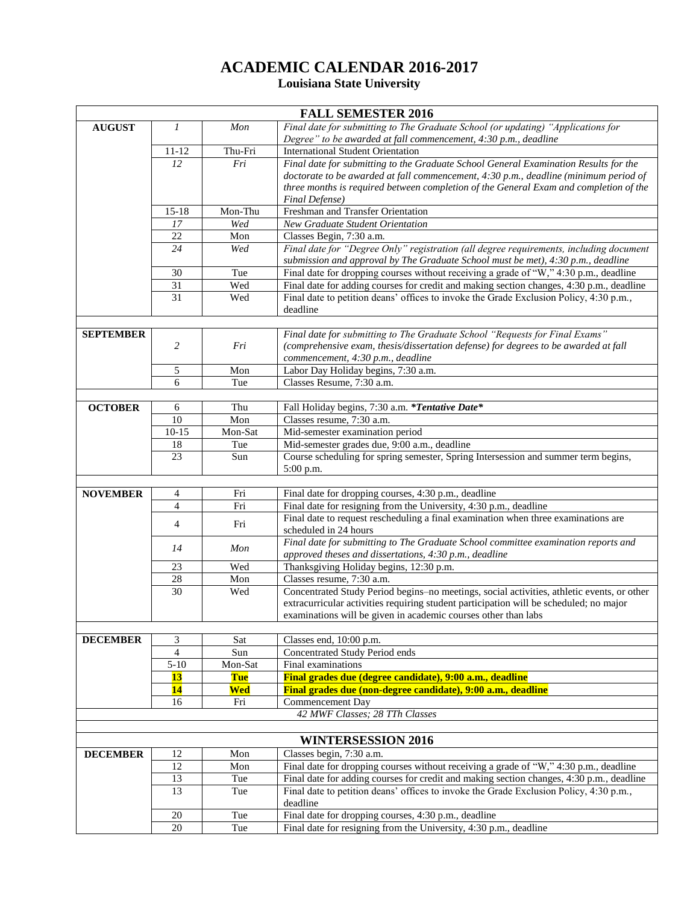## **ACADEMIC CALENDAR 2016-2017 Louisiana State University**

| <b>FALL SEMESTER 2016</b> |                |            |                                                                                            |  |
|---------------------------|----------------|------------|--------------------------------------------------------------------------------------------|--|
| <b>AUGUST</b>             | 1              | Mon        | Final date for submitting to The Graduate School (or updating) "Applications for           |  |
|                           |                |            | Degree" to be awarded at fall commencement, 4:30 p.m., deadline                            |  |
|                           | $11 - 12$      | Thu-Fri    | <b>International Student Orientation</b>                                                   |  |
|                           | 12             | Fri        | Final date for submitting to the Graduate School General Examination Results for the       |  |
|                           |                |            | doctorate to be awarded at fall commencement, 4:30 p.m., deadline (minimum period of       |  |
|                           |                |            | three months is required between completion of the General Exam and completion of the      |  |
|                           |                |            | <b>Final Defense</b> )                                                                     |  |
|                           | $15 - 18$      | Mon-Thu    | Freshman and Transfer Orientation                                                          |  |
|                           | 17             | Wed        | <b>New Graduate Student Orientation</b>                                                    |  |
|                           | 22             | Mon        | Classes Begin, 7:30 a.m.                                                                   |  |
|                           | 24             | Wed        | Final date for "Degree Only" registration (all degree requirements, including document     |  |
|                           |                |            | submission and approval by The Graduate School must be met), 4:30 p.m., deadline           |  |
|                           | 30             | Tue        | Final date for dropping courses without receiving a grade of "W," 4:30 p.m., deadline      |  |
|                           | 31             | Wed        | Final date for adding courses for credit and making section changes, 4:30 p.m., deadline   |  |
|                           | 31             | Wed        | Final date to petition deans' offices to invoke the Grade Exclusion Policy, 4:30 p.m.,     |  |
|                           |                |            | deadline                                                                                   |  |
|                           |                |            |                                                                                            |  |
| <b>SEPTEMBER</b>          |                |            | Final date for submitting to The Graduate School "Requests for Final Exams"                |  |
|                           | 2              | Fri        | (comprehensive exam, thesis/dissertation defense) for degrees to be awarded at fall        |  |
|                           |                |            | commencement, 4:30 p.m., deadline                                                          |  |
|                           | 5              | Mon        | Labor Day Holiday begins, 7:30 a.m.                                                        |  |
|                           | 6              | Tue        | Classes Resume, 7:30 a.m.                                                                  |  |
|                           |                |            |                                                                                            |  |
| <b>OCTOBER</b>            | 6              | Thu        | Fall Holiday begins, 7:30 a.m. * Tentative Date*                                           |  |
|                           | 10             | Mon        | Classes resume, 7:30 a.m.                                                                  |  |
|                           | $10-15$        | Mon-Sat    | Mid-semester examination period                                                            |  |
|                           | 18             | Tue        | Mid-semester grades due, 9:00 a.m., deadline                                               |  |
|                           | 23             | Sun        | Course scheduling for spring semester, Spring Intersession and summer term begins,         |  |
|                           |                |            | 5:00 p.m.                                                                                  |  |
|                           |                |            |                                                                                            |  |
| <b>NOVEMBER</b>           | 4              | Fri        | Final date for dropping courses, 4:30 p.m., deadline                                       |  |
|                           | 4              | Fri        | Final date for resigning from the University, 4:30 p.m., deadline                          |  |
|                           | 4              | Fri        | Final date to request rescheduling a final examination when three examinations are         |  |
|                           |                |            | scheduled in 24 hours                                                                      |  |
|                           | 14             | Mon        | Final date for submitting to The Graduate School committee examination reports and         |  |
|                           |                |            | approved theses and dissertations, 4:30 p.m., deadline                                     |  |
|                           | 23             | Wed        | Thanksgiving Holiday begins, 12:30 p.m.                                                    |  |
|                           | 28             | Mon        | Classes resume, 7:30 a.m.                                                                  |  |
|                           | 30             | Wed        | Concentrated Study Period begins-no meetings, social activities, athletic events, or other |  |
|                           |                |            | extracurricular activities requiring student participation will be scheduled; no major     |  |
|                           |                |            | examinations will be given in academic courses other than labs                             |  |
|                           |                |            |                                                                                            |  |
| <b>DECEMBER</b>           | 3              | Sat        | Classes end, 10:00 p.m.                                                                    |  |
|                           | $\overline{4}$ | Sun        | Concentrated Study Period ends                                                             |  |
|                           | $5-10$         | Mon-Sat    | Final examinations                                                                         |  |
|                           | <b>13</b>      | <b>Tue</b> | Final grades due (degree candidate), 9:00 a.m., deadline                                   |  |
|                           | <b>14</b>      | Wed        | Final grades due (non-degree candidate), 9:00 a.m., deadline                               |  |
|                           | 16             | Fri        | Commencement Day                                                                           |  |
|                           |                |            | 42 MWF Classes; 28 TTh Classes                                                             |  |
|                           |                |            |                                                                                            |  |
|                           |                |            | <b>WINTERSESSION 2016</b>                                                                  |  |
| <b>DECEMBER</b>           | 12             | Mon        | Classes begin, 7:30 a.m.                                                                   |  |
|                           | 12             | Mon        | Final date for dropping courses without receiving a grade of "W," 4:30 p.m., deadline      |  |
|                           | 13             | Tue        | Final date for adding courses for credit and making section changes, 4:30 p.m., deadline   |  |
|                           | 13             | Tue        | Final date to petition deans' offices to invoke the Grade Exclusion Policy, 4:30 p.m.,     |  |
|                           |                |            | deadline                                                                                   |  |
|                           | $20\,$         | Tue        | Final date for dropping courses, 4:30 p.m., deadline                                       |  |
|                           | 20             | Tue        | Final date for resigning from the University, 4:30 p.m., deadline                          |  |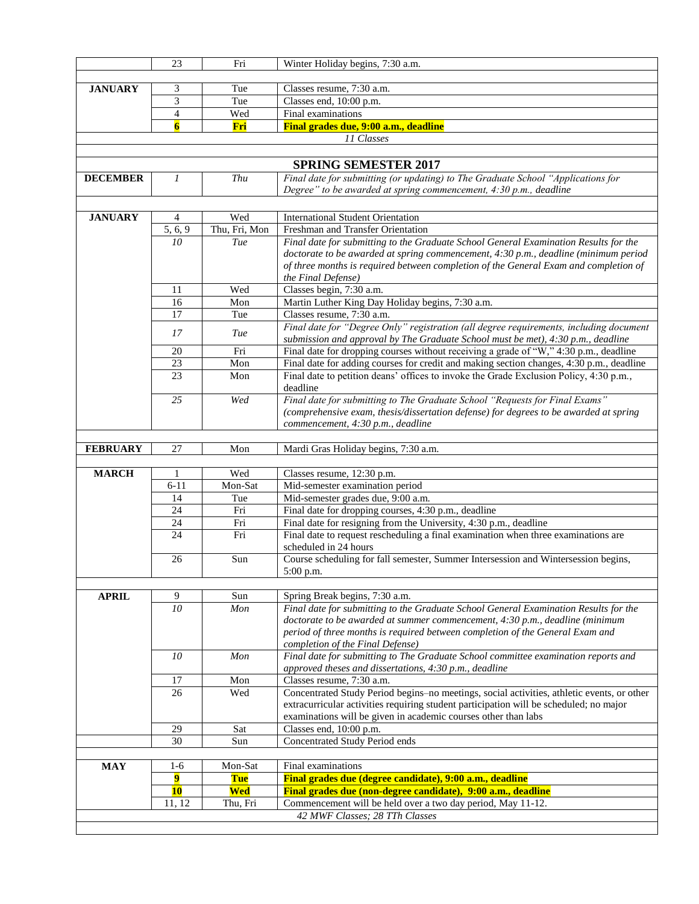|                 | 23                      | Fri           | Winter Holiday begins, 7:30 a.m.                                                                                           |
|-----------------|-------------------------|---------------|----------------------------------------------------------------------------------------------------------------------------|
|                 |                         |               |                                                                                                                            |
| <b>JANUARY</b>  | 3                       | Tue           | Classes resume, 7:30 a.m.                                                                                                  |
|                 | 3                       | Tue           | Classes end, 10:00 p.m.                                                                                                    |
|                 | 4                       | Wed           | Final examinations                                                                                                         |
|                 | $\overline{\mathbf{6}}$ | Fri           | Final grades due, 9:00 a.m., deadline                                                                                      |
|                 |                         |               | 11 Classes                                                                                                                 |
|                 |                         |               |                                                                                                                            |
|                 |                         |               | <b>SPRING SEMESTER 2017</b>                                                                                                |
| <b>DECEMBER</b> | $\mathfrak{1}$          | Thu           | Final date for submitting (or updating) to The Graduate School "Applications for                                           |
|                 |                         |               | Degree" to be awarded at spring commencement, 4:30 p.m., deadline                                                          |
|                 |                         |               |                                                                                                                            |
|                 |                         |               |                                                                                                                            |
| <b>JANUARY</b>  | $\overline{4}$          | Wed           | <b>International Student Orientation</b>                                                                                   |
|                 | 5, 6, 9                 | Thu, Fri, Mon | Freshman and Transfer Orientation                                                                                          |
|                 | $\overline{10}$         | Tue           | Final date for submitting to the Graduate School General Examination Results for the                                       |
|                 |                         |               | doctorate to be awarded at spring commencement, 4:30 p.m., deadline (minimum period                                        |
|                 |                         |               | of three months is required between completion of the General Exam and completion of                                       |
|                 |                         |               | the Final Defense)                                                                                                         |
|                 | 11                      | Wed           | Classes begin, 7:30 a.m.                                                                                                   |
|                 | 16                      | Mon           | Martin Luther King Day Holiday begins, 7:30 a.m.                                                                           |
|                 | 17                      | Tue           | Classes resume, 7:30 a.m.                                                                                                  |
|                 | 17                      | Tue           | Final date for "Degree Only" registration (all degree requirements, including document                                     |
|                 |                         |               | submission and approval by The Graduate School must be met), 4:30 p.m., deadline                                           |
|                 | 20                      | Fri           | Final date for dropping courses without receiving a grade of "W," 4:30 p.m., deadline                                      |
|                 | 23                      | Mon           | Final date for adding courses for credit and making section changes, 4:30 p.m., deadline                                   |
|                 | 23                      | Mon           | Final date to petition deans' offices to invoke the Grade Exclusion Policy, 4:30 p.m.,                                     |
|                 |                         |               | deadline                                                                                                                   |
|                 | 25                      | Wed           | Final date for submitting to The Graduate School "Requests for Final Exams"                                                |
|                 |                         |               | (comprehensive exam, thesis/dissertation defense) for degrees to be awarded at spring<br>commencement, 4:30 p.m., deadline |
|                 |                         |               |                                                                                                                            |
| <b>FEBRUARY</b> | 27                      | Mon           | Mardi Gras Holiday begins, 7:30 a.m.                                                                                       |
|                 |                         |               |                                                                                                                            |
| <b>MARCH</b>    | 1                       | Wed           | Classes resume, 12:30 p.m.                                                                                                 |
|                 | $6 - 11$                | Mon-Sat       | Mid-semester examination period                                                                                            |
|                 | 14                      | Tue           | Mid-semester grades due, 9:00 a.m.                                                                                         |
|                 | 24                      | Fri           | Final date for dropping courses, 4:30 p.m., deadline                                                                       |
|                 | 24                      | Fri           | Final date for resigning from the University, 4:30 p.m., deadline                                                          |
|                 | $\overline{24}$         | Fri           | Final date to request rescheduling a final examination when three examinations are                                         |
|                 |                         |               | scheduled in 24 hours                                                                                                      |
|                 | 26                      | Sun           | Course scheduling for fall semester, Summer Intersession and Wintersession begins,                                         |
|                 |                         |               | 5:00 p.m.                                                                                                                  |
|                 |                         |               |                                                                                                                            |
| <b>APRIL</b>    | 9                       | Sun           | Spring Break begins, 7:30 a.m.                                                                                             |
|                 | 10 <sup>2</sup>         | <b>Mon</b>    | Final date for submitting to the Graduate School General Examination Results for the                                       |
|                 |                         |               | doctorate to be awarded at summer commencement, 4:30 p.m., deadline (minimum                                               |
|                 |                         |               | period of three months is required between completion of the General Exam and                                              |
|                 |                         |               | completion of the Final Defense)                                                                                           |
|                 | 10                      | Mon           | Final date for submitting to The Graduate School committee examination reports and                                         |
|                 |                         |               | approved theses and dissertations, 4:30 p.m., deadline                                                                     |
|                 | 17                      | Mon           | Classes resume, 7:30 a.m.                                                                                                  |
|                 | 26                      | Wed           | Concentrated Study Period begins-no meetings, social activities, athletic events, or other                                 |
|                 |                         |               | extracurricular activities requiring student participation will be scheduled; no major                                     |
|                 |                         |               | examinations will be given in academic courses other than labs                                                             |
|                 | 29                      | Sat           | Classes end, $10:00$ p.m.                                                                                                  |
|                 | 30                      | Sun           | Concentrated Study Period ends                                                                                             |
|                 |                         |               |                                                                                                                            |
| <b>MAY</b>      | $1-6$                   | Mon-Sat       | Final examinations                                                                                                         |
|                 | 9                       | <b>Tue</b>    | Final grades due (degree candidate), 9:00 a.m., deadline                                                                   |
|                 | <b>10</b>               | Wed           | Final grades due (non-degree candidate), 9:00 a.m., deadline                                                               |
|                 | 11, 12                  | Thu, Fri      | Commencement will be held over a two day period, May 11-12.                                                                |
|                 |                         |               | 42 MWF Classes; 28 TTh Classes                                                                                             |
|                 |                         |               |                                                                                                                            |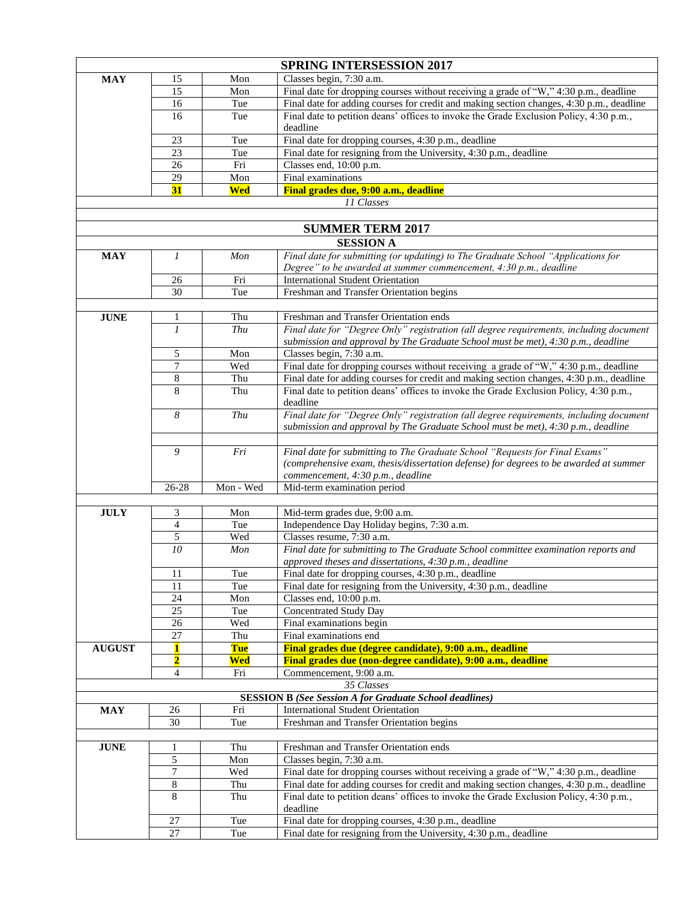|               |                         |            | <b>SPRING INTERSESSION 2017</b>                                                                                                                                            |
|---------------|-------------------------|------------|----------------------------------------------------------------------------------------------------------------------------------------------------------------------------|
| <b>MAY</b>    | 15                      | Mon        | Classes begin, 7:30 a.m.                                                                                                                                                   |
|               | 15                      | Mon        | Final date for dropping courses without receiving a grade of "W," 4:30 p.m., deadline                                                                                      |
|               | 16                      | Tue        | Final date for adding courses for credit and making section changes, 4:30 p.m., deadline                                                                                   |
|               | 16                      | Tue        | Final date to petition deans' offices to invoke the Grade Exclusion Policy, 4:30 p.m.,                                                                                     |
|               |                         |            | deadline                                                                                                                                                                   |
|               | 23                      | Tue        | Final date for dropping courses, 4:30 p.m., deadline                                                                                                                       |
|               | 23                      | Tue        | Final date for resigning from the University, 4:30 p.m., deadline                                                                                                          |
|               | 26                      | Fri        | Classes end, 10:00 p.m.                                                                                                                                                    |
|               | 29<br>31                | Mon        | Final examinations                                                                                                                                                         |
|               |                         | Wed        | Final grades due, 9:00 a.m., deadline<br>11 Classes                                                                                                                        |
|               |                         |            |                                                                                                                                                                            |
|               |                         |            | <b>SUMMER TERM 2017</b>                                                                                                                                                    |
|               |                         |            | <b>SESSION A</b>                                                                                                                                                           |
| <b>MAY</b>    | 1                       | Mon        | Final date for submitting (or updating) to The Graduate School "Applications for                                                                                           |
|               |                         |            | Degree" to be awarded at summer commencement, 4:30 p.m., deadline                                                                                                          |
|               | 26                      | Fri        | <b>International Student Orientation</b>                                                                                                                                   |
|               | 30                      | Tue        | Freshman and Transfer Orientation begins                                                                                                                                   |
|               |                         |            |                                                                                                                                                                            |
| <b>JUNE</b>   | 1                       | Thu        | Freshman and Transfer Orientation ends                                                                                                                                     |
|               | $\mathfrak{1}$          | Thu        | Final date for "Degree Only" registration (all degree requirements, including document                                                                                     |
|               |                         |            | submission and approval by The Graduate School must be met), 4:30 p.m., deadline                                                                                           |
|               | 5                       | Mon        | Classes begin, 7:30 a.m.                                                                                                                                                   |
|               | 7                       | Wed        | Final date for dropping courses without receiving a grade of "W," 4:30 p.m., deadline                                                                                      |
|               | 8<br>8                  | Thu        | Final date for adding courses for credit and making section changes, 4:30 p.m., deadline                                                                                   |
|               |                         | Thu        | Final date to petition deans' offices to invoke the Grade Exclusion Policy, 4:30 p.m.,<br>deadline                                                                         |
|               | 8                       | Thu        | Final date for "Degree Only" registration (all degree requirements, including document<br>submission and approval by The Graduate School must be met), 4:30 p.m., deadline |
|               |                         |            |                                                                                                                                                                            |
|               | 9                       | Fri        | Final date for submitting to The Graduate School "Requests for Final Exams"<br>(comprehensive exam, thesis/dissertation defense) for degrees to be awarded at summer       |
|               |                         |            | commencement, 4:30 p.m., deadline                                                                                                                                          |
|               | $26 - 28$               | Mon - Wed  | Mid-term examination period                                                                                                                                                |
|               |                         |            |                                                                                                                                                                            |
| <b>JULY</b>   | 3                       | Mon        | Mid-term grades due, 9:00 a.m.                                                                                                                                             |
|               | $\overline{4}$          | Tue        | Independence Day Holiday begins, 7:30 a.m.                                                                                                                                 |
|               | 5                       | Wed        | Classes resume, 7:30 a.m.                                                                                                                                                  |
|               | 10                      | Mon        | Final date for submitting to The Graduate School committee examination reports and<br>approved theses and dissertations, 4:30 p.m., deadline                               |
|               | 11                      | Tue        | Final date for dropping courses, 4:30 p.m., deadline                                                                                                                       |
|               | 11                      | Tue        | Final date for resigning from the University, 4:30 p.m., deadline                                                                                                          |
|               | 24                      | Mon        | Classes end, 10:00 p.m.                                                                                                                                                    |
|               | 25                      | Tue        | <b>Concentrated Study Day</b>                                                                                                                                              |
|               | $26\,$                  | Wed        | Final examinations begin                                                                                                                                                   |
|               | $\overline{27}$         | Thu        | Final examinations end                                                                                                                                                     |
| <b>AUGUST</b> | 1                       | <b>Tue</b> | Final grades due (degree candidate), 9:00 a.m., deadline                                                                                                                   |
|               | $\overline{\mathbf{2}}$ | <b>Wed</b> | Final grades due (non-degree candidate), 9:00 a.m., deadline                                                                                                               |
|               | 4                       | Fri        | Commencement, 9:00 a.m.                                                                                                                                                    |
|               |                         |            | 35 Classes<br><b>SESSION B</b> (See Session A for Graduate School deadlines)                                                                                               |
| <b>MAY</b>    | 26                      | Fri        | <b>International Student Orientation</b>                                                                                                                                   |
|               | 30                      | Tue        | Freshman and Transfer Orientation begins                                                                                                                                   |
|               |                         |            |                                                                                                                                                                            |
| <b>JUNE</b>   | 1                       | Thu        | Freshman and Transfer Orientation ends                                                                                                                                     |
|               | $\sqrt{5}$              | Mon        | Classes begin, 7:30 a.m.                                                                                                                                                   |
|               | $\tau$                  | Wed        | Final date for dropping courses without receiving a grade of "W," 4:30 p.m., deadline                                                                                      |
|               | $\,$ 8 $\,$             | Thu        | Final date for adding courses for credit and making section changes, 4:30 p.m., deadline                                                                                   |
|               | 8                       | Thu        | Final date to petition deans' offices to invoke the Grade Exclusion Policy, 4:30 p.m.,<br>deadline                                                                         |
|               | 27                      | Tue        | Final date for dropping courses, 4:30 p.m., deadline                                                                                                                       |
|               | 27                      | Tue        | Final date for resigning from the University, 4:30 p.m., deadline                                                                                                          |
|               |                         |            |                                                                                                                                                                            |